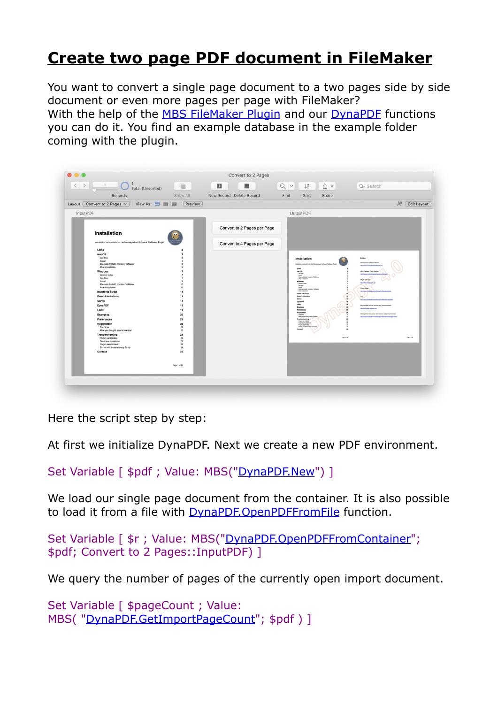## **[Create two page PDF document in FileMaker](https://www.mbs-plugins.com/archive/2019-08-22/Create_two_page_PDF_document_i/monkeybreadsoftware_blog_filemaker)**

You want to convert a single page document to a two pages side by side document or even more pages per page with FileMaker? With the help of the [MBS FileMaker Plugin](http://monkeybreadsoftware.com/filemaker/) and our [DynaPDF](http://www.mbsplugins.eu/component_DynaPDF.shtml) functions you can do it. You find an example database in the example folder coming with the plugin.

| $\langle$ ><br>F<br>1<br>Total (Unsorted)<br>$\begin{array}{ c c c c c }\n\hline\n\multicolumn{1}{ c }{\phantom{ }}\n\hline\n\multicolumn{1}{ c }{\phantom{ }}\n\hline\n\multicolumn{1}{ c }{\phantom{ }}\n\hline\n\multicolumn{1}{ c }{\phantom{ }}\n\hline\n\multicolumn{1}{ c }{\phantom{ }}\n\hline\n\multicolumn{1}{ c }{\phantom{ }}\n\hline\n\multicolumn{1}{ c }{\phantom{ }}\n\hline\n\multicolumn{1}{ c }{\phantom{ }}\n\hline\n\multicolumn{1}{ c }{\phantom{ }}\n\hline\n$     | 畾<br>$=$                    | $Q \sim$<br>$\downarrow_z^a$<br>û v                                                                                                                                                                                                                                                                                                                                                                                                                                  | Q <sup>v</sup> Search                                                                                                                                                                                                                                                                                      |
|--------------------------------------------------------------------------------------------------------------------------------------------------------------------------------------------------------------------------------------------------------------------------------------------------------------------------------------------------------------------------------------------------------------------------------------------------------------------------------------------|-----------------------------|----------------------------------------------------------------------------------------------------------------------------------------------------------------------------------------------------------------------------------------------------------------------------------------------------------------------------------------------------------------------------------------------------------------------------------------------------------------------|------------------------------------------------------------------------------------------------------------------------------------------------------------------------------------------------------------------------------------------------------------------------------------------------------------|
| Show All<br>Records                                                                                                                                                                                                                                                                                                                                                                                                                                                                        | New Record Delete Record    | Find<br>Sort<br>Share                                                                                                                                                                                                                                                                                                                                                                                                                                                |                                                                                                                                                                                                                                                                                                            |
| Layout: $\boxed{\text{Convert to 2 Pages } \sim \ }$<br>View As: $\Box \equiv \boxplus$<br>Preview                                                                                                                                                                                                                                                                                                                                                                                         |                             |                                                                                                                                                                                                                                                                                                                                                                                                                                                                      | $A^a$<br><b>Edit Layout</b>                                                                                                                                                                                                                                                                                |
| InputPDF                                                                                                                                                                                                                                                                                                                                                                                                                                                                                   |                             | OutputPDF                                                                                                                                                                                                                                                                                                                                                                                                                                                            |                                                                                                                                                                                                                                                                                                            |
|                                                                                                                                                                                                                                                                                                                                                                                                                                                                                            | Convert to 2 Pages per Page |                                                                                                                                                                                                                                                                                                                                                                                                                                                                      |                                                                                                                                                                                                                                                                                                            |
| Installation                                                                                                                                                                                                                                                                                                                                                                                                                                                                               |                             |                                                                                                                                                                                                                                                                                                                                                                                                                                                                      |                                                                                                                                                                                                                                                                                                            |
| Installation instructions for the Monkeybread Software FileMaker Plugin.<br>Links<br>$\overline{2}$                                                                                                                                                                                                                                                                                                                                                                                        | Convert to 4 Pages per Page |                                                                                                                                                                                                                                                                                                                                                                                                                                                                      |                                                                                                                                                                                                                                                                                                            |
| macOS<br>$\overline{\mathbf{3}}$<br>Get files<br>$\mathbf{\hat{z}}$<br>Install<br>$\overline{A}$<br>Alternate Install Location FileMaker<br>$\overline{a}$<br>After installation<br>$\sim$<br>Windows<br>$\overline{7}$<br>Version notes<br>$\overline{z}$<br>Get files<br>$\overline{7}$<br>Install<br>$\ddot{\phantom{a}}$<br>Alternate Install Location FileMaker<br>10<br>After installation<br>11<br><b>Install via Script</b><br>12<br>13<br><b>Demo Limitations</b><br>Server<br>14 |                             | Installation<br>Installation instructions for the Morkeybraad Software File<br>Links<br>macOS<br>Get fies<br>Instal<br>Alternate Instal Location Fieldsker<br>After installation<br>Windows<br>Version nates<br>Get they<br>Install<br>Alternate Install Location FiteMake<br>After installation<br>Install via Script<br>$\overline{12}$<br><b>Demo Limitations</b><br>13<br>Server<br>ιù.<br><b>DynaPDR</b><br>m.<br>LBM<br>$\left\langle \mathbf{q}\right\rangle$ | Links<br><b>Michaelmad Schuss Website</b><br>Ma Jwys notivuly saluthers at<br>MBS Fieldaker Plugin Website:<br>Mix Penns morkeybready/flears.<br>Plugh Referrige<br>http://www.magazine.ed<br>Piago Guidea<br><b>Machines</b><br>ars.deflenske laste<br>FAQ.<br>10 Jean horizobrada ham defiensiertag stin |
| <b>DynaPDF</b><br>18<br>LibXL<br>19<br>20<br><b>Examples</b><br>21<br>Preferences<br>22<br>Registration<br>Trial time<br>22<br>After you bought a serial number<br>22<br>23<br>Troubleshooting                                                                                                                                                                                                                                                                                             |                             | m.<br>Examples<br>Preferences<br>hи<br>Registration<br>$\boldsymbol{22}$<br>Trial Sme<br>$\boldsymbol{v}$<br>After you bought a serial numb<br>÷<br>Troubleshooting<br>ø<br>Plugin not longing<br>Duplicate Installation<br>22<br>Plugin deach wied<br>Emma with Installation by Scran<br>b.<br>$\overline{\mathbf{z}}$<br>$_{25}$<br>Contact                                                                                                                        | Bog with tips and new versions and announcements:<br>htp://www.nite-plughs.com<br>Mailing bd for discussion, new versions and announcements<br>htp://www.norkeytreadschears.de/femalus/malingist.shtml                                                                                                     |
| 23<br>Plugin not loading<br>Duplicate Installation<br>23<br>Plugin deactivated<br>24<br>Errors with Installation by Script<br>24<br>25<br>Contact                                                                                                                                                                                                                                                                                                                                          |                             | Page 6 of 28                                                                                                                                                                                                                                                                                                                                                                                                                                                         | Page 2 of 25                                                                                                                                                                                                                                                                                               |
| Page 1 of 25                                                                                                                                                                                                                                                                                                                                                                                                                                                                               |                             |                                                                                                                                                                                                                                                                                                                                                                                                                                                                      |                                                                                                                                                                                                                                                                                                            |

Here the script step by step:

At first we initialize DynaPDF. Next we create a new PDF environment.

Set Variable [ \$pdf ; Value: MBS("[DynaPDF.New](http://www.mbsplugins.eu/DynaPDFNew.shtml)") ]

We load our single page document from the container. It is also possible to load it from a file with **DynaPDF.OpenPDFFromFile** function.

Set Variable [ \$r ; Value: MBS(["DynaPDF.OpenPDFFromContainer](http://www.mbsplugins.eu/DynaPDFOpenPDFFromContainer.shtml)"; \$pdf; Convert to 2 Pages::InputPDF) ]

We query the number of pages of the currently open import document.

Set Variable [ \$pageCount ; Value: MBS( "[DynaPDF.GetImportPageCount](http://www.mbsplugins.eu/DynaPDFGetImportPageCount.shtml)"; \$pdf ) ]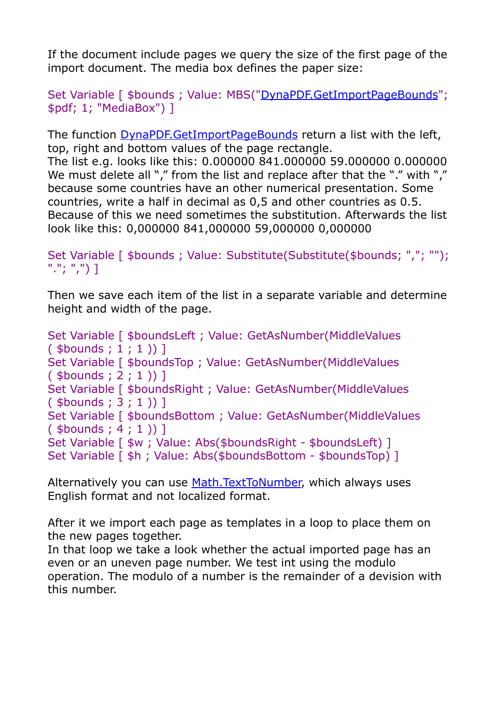If the document include pages we query the size of the first page of the import document. The media box defines the paper size:

Set Variable [ \$bounds ; Value: MBS("[DynaPDF.GetImportPageBounds](http://www.mbsplugins.eu/DynaPDFGetImportPageBounds.shtml)"; \$pdf; 1; "MediaBox") ]

The function [DynaPDF.GetImportPageBounds](http://www.mbsplugins.eu/DynaPDFGetImportPageBounds.shtml) return a list with the left, top, right and bottom values of the page rectangle. The list e.g. looks like this: 0.000000 841.000000 59.000000 0.000000 We must delete all "," from the list and replace after that the "." with "," because some countries have an other numerical presentation. Some countries, write a half in decimal as 0,5 and other countries as 0.5. Because of this we need sometimes the substitution. Afterwards the list look like this: 0,000000 841,000000 59,000000 0,000000

Set Variable [ \$bounds ; Value: Substitute(Substitute(\$bounds; ","; ""); "."; ",") ]

Then we save each item of the list in a separate variable and determine height and width of the page.

Set Variable [ \$boundsLeft ; Value: GetAsNumber(MiddleValues  $($  \$bounds ; 1 ; 1  $)$  ] Set Variable [ \$boundsTop ; Value: GetAsNumber(MiddleValues ( \$bounds ; 2 ; 1 )) ] Set Variable [ \$boundsRight ; Value: GetAsNumber(MiddleValues ( \$bounds ; 3 ; 1 )) ] Set Variable [ \$boundsBottom ; Value: GetAsNumber(MiddleValues ( \$bounds ; 4 ; 1 )) ] Set Variable [  $\frac{1}{2}w$  ; Value: Abs( $\frac{1}{2}b$ oundsRight -  $\frac{1}{2}b$ oundsLeft) ] Set Variable [ \$h ; Value: Abs(\$boundsBottom - \$boundsTop) ]

Alternatively you can use [Math.TextToNumber,](http://www.mbsplugins.eu/MathTextToNumber.shtml) which always uses English format and not localized format.

After it we import each page as templates in a loop to place them on the new pages together.

In that loop we take a look whether the actual imported page has an even or an uneven page number. We test int using the modulo operation. The modulo of a number is the remainder of a devision with this number.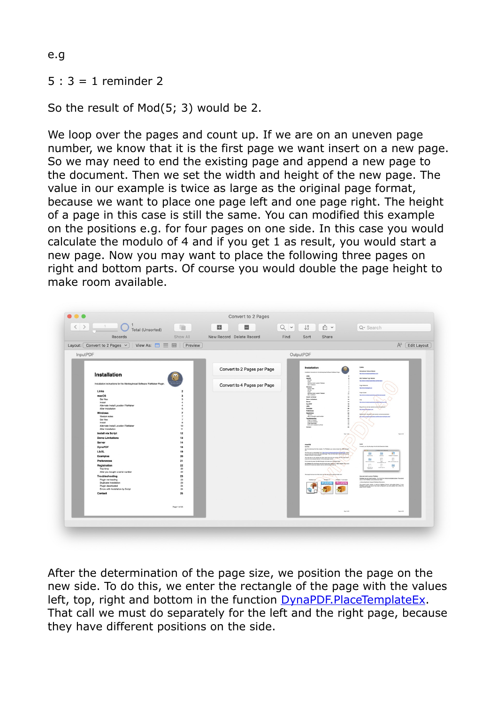e.g

## $5:3 = 1$  reminder 2

So the result of Mod(5; 3) would be 2.

We loop over the pages and count up. If we are on an uneven page number, we know that it is the first page we want insert on a new page. So we may need to end the existing page and append a new page to the document. Then we set the width and height of the new page. The value in our example is twice as large as the original page format, because we want to place one page left and one page right. The height of a page in this case is still the same. You can modified this example on the positions e.g. for four pages on one side. In this case you would calculate the modulo of 4 and if you get 1 as result, you would start a new page. Now you may want to place the following three pages on right and bottom parts. Of course you would double the page height to make room available.



After the determination of the page size, we position the page on the new side. To do this, we enter the rectangle of the page with the values left, top, right and bottom in the function [DynaPDF.PlaceTemplateEx](http://www.mbsplugins.eu/DynaPDFPlaceTemplateEx.shtml). That call we must do separately for the left and the right page, because they have different positions on the side.